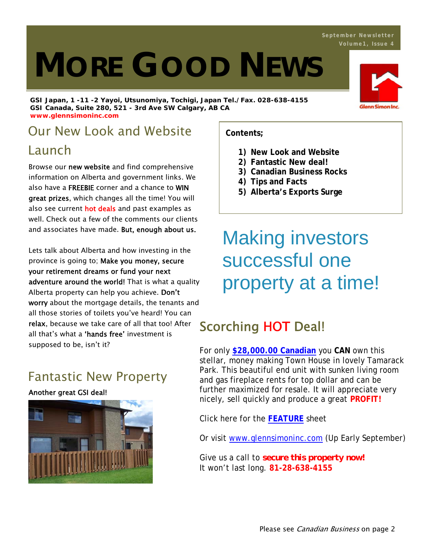# **MORE GOOD NEWS**

**GSI Japan, 1 -11 -2 Yayoi, Utsunomiya, Tochigi, Japan Tel./Fax. 028-638-4155 GSI Canada, Suite 280, 521 - 3rd Ave SW Calgary, AB CA www.glennsimoninc.com** 

## Our New Look and Website Launch

Browse our new website and find comprehensive information on Alberta and government links. We also have a FREEBIE corner and a chance to WIN great prizes, which changes all the time! You will also see current **hot deals** and past examples as well. Check out a few of the comments our clients and associates have made. But, enough about us.

Lets talk about Alberta and how investing in the province is going to; Make you money, secure your retirement dreams or fund your next adventure around the world! That is what a quality Alberta property can help you achieve. Don't worry about the mortgage details, the tenants and all those stories of toilets you've heard! You can relax, because we take care of all that too! After all that's what a 'hands free' investment is supposed to be, isn't it?

### Fantastic New Property

#### Another great GSI deal!



#### **Contents;**

- **1) New Look and Website**
- **2) Fantastic New deal!**
- **3) Canadian Business Rocks**
- **4) Tips and Facts**
- **5) Alberta's Exports Surge**

## Making investors successful one property at a time!

## Scorching HOT Deal!

For only **\$28,000.00 Canadian** you **CAN** own this stellar, money making Town House in lovely Tamarack Park. This beautiful end unit with sunken living room and gas fireplace rents for top dollar and can be further maximized for resale. It will appreciate very nicely, sell quickly and produce a great **PROFIT!**

Click here for the **FEATURE** sheet

Or visit www.glennsimoninc.com (Up Early September)

Give us a call to *secure this property now!* It won't last long. **81-28-638-4155**



**Glenn Simon Inc.** 

## **September Newsletter**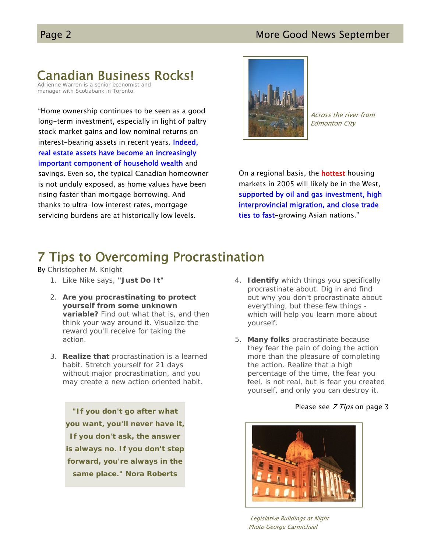#### Page 2 More Good News September

#### Canadian Business Rocks!

*Adrienne Warren is a senior economist and manager with Scotiabank in Toronto.*

"Home ownership continues to be seen as a good long-term investment, especially in light of paltry stock market gains and low nominal returns on interest-bearing assets in recent years. Indeed, real estate assets have become an increasingly important component of household wealth and savings. Even so, the typical Canadian homeowner is not unduly exposed, as home values have been rising faster than mortgage borrowing. And thanks to ultra-low interest rates, mortgage servicing burdens are at historically low levels.



Across the river from Edmonton City

On a regional basis, the **hottest** housing markets in 2005 will likely be in the West, supported by oil and gas investment, high interprovincial migration, and close trade ties to fast-growing Asian nations."

## 7 Tips to Overcoming Procrastination

By Christopher M. Knight

- 1. Like Nike says, **"Just Do It"**
- 2. **Are you procrastinating to protect yourself from some unknown variable?** Find out what that is, and then think your way around it. Visualize the reward you'll receive for taking the action.
- 3. **Realize that** procrastination is a learned habit. Stretch yourself for 21 days without major procrastination, and you may create a new action oriented habit.

*"If you don't go after what you want, you'll never have it, If you don't ask, the answer is always no. If you don't step forward, you're always in the same place." Nora Roberts*

- 4. **Identify** which things you specifically procrastinate about. Dig in and find out why you don't procrastinate about everything, but these few things which will help you learn more about yourself.
- 5. **Many folks** procrastinate because they fear the pain of doing the action more than the pleasure of completing the action. Realize that a high percentage of the time, the fear you feel, is not real, but is fear you created yourself, and only you can destroy it.

#### Please see *7 Tips* on page 3



 Legislative Buildings at Night Photo George Carmichael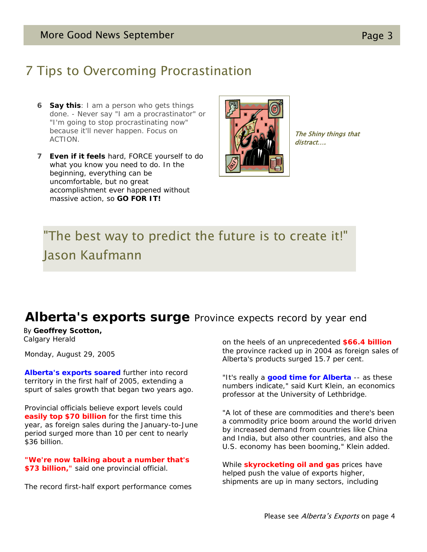#### 7 Tips to Overcoming Procrastination

- **6 Say this**: I am a person who gets things done. - Never say "I am a procrastinator" or "I'm going to stop procrastinating now" because it'll never happen. Focus on ACTION.
- **7 Even if it feels** hard, FORCE yourself to do what you know you need to do. In the beginning, everything can be uncomfortable, but no great accomplishment ever happened without massive action, so **GO FOR IT!**



The Shiny things that distract….

## "The best way to predict the future is to create it!" Jason Kaufmann

#### **Alberta's exports surge** Province expects record by year end

By **Geoffrey Scotton,**  Calgary Herald

*Monday, August 29, 2005* 

**Alberta's exports soared** further into record territory in the first half of 2005, extending a spurt of sales growth that began two years ago.

Provincial officials believe export levels could **easily top \$70 billion** for the first time this year, as foreign sales during the January-to-June period surged more than 10 per cent to nearly \$36 billion.

**"We're now talking about a number that's \$73 billion,"** said one provincial official.

The record first-half export performance comes

on the heels of an unprecedented **\$66.4 billion**  the province racked up in 2004 as foreign sales of Alberta's products surged 15.7 per cent.

"It's really a **good time for Alberta** -- as these numbers indicate," said Kurt Klein, an economics professor at the University of Lethbridge.

"A lot of these are commodities and there's been a commodity price boom around the world driven by increased demand from countries like China and India, but also other countries, and also the U.S. economy has been booming," Klein added.

While **skyrocketing oil and gas** prices have helped push the value of exports higher, shipments are up in many sectors, including